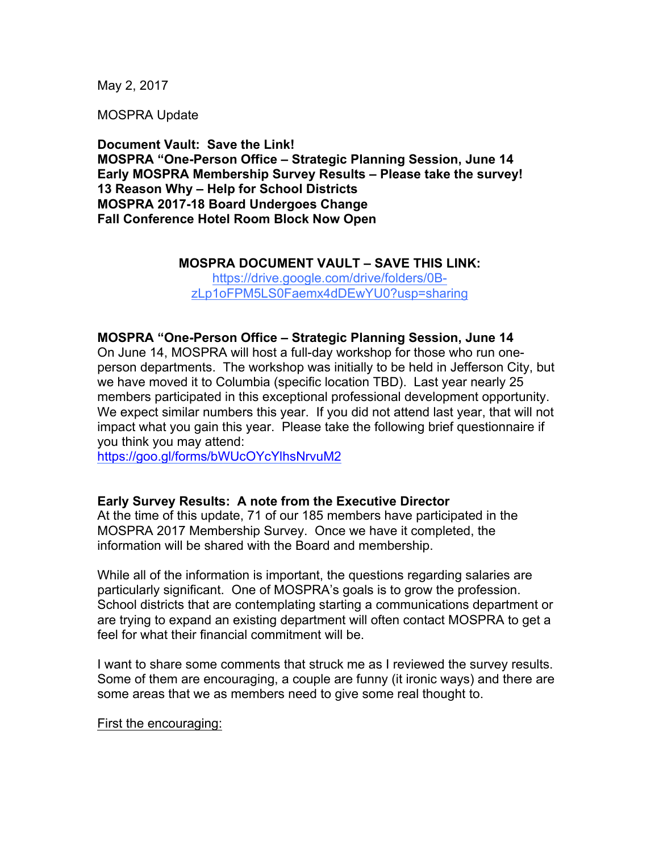May 2, 2017

MOSPRA Update

**Document Vault: Save the Link! MOSPRA "One-Person Office – Strategic Planning Session, June 14 Early MOSPRA Membership Survey Results – Please take the survey! 13 Reason Why – Help for School Districts MOSPRA 2017-18 Board Undergoes Change Fall Conference Hotel Room Block Now Open**

### **MOSPRA DOCUMENT VAULT – SAVE THIS LINK:**

https://drive.google.com/drive/folders/0BzLp1oFPM5LS0Faemx4dDEwYU0?usp=sharing

### **MOSPRA "One-Person Office – Strategic Planning Session, June 14**

On June 14, MOSPRA will host a full-day workshop for those who run oneperson departments. The workshop was initially to be held in Jefferson City, but we have moved it to Columbia (specific location TBD). Last year nearly 25 members participated in this exceptional professional development opportunity. We expect similar numbers this year. If you did not attend last year, that will not impact what you gain this year. Please take the following brief questionnaire if you think you may attend:

https://goo.gl/forms/bWUcOYcYlhsNrvuM2

#### **Early Survey Results: A note from the Executive Director**

At the time of this update, 71 of our 185 members have participated in the MOSPRA 2017 Membership Survey. Once we have it completed, the information will be shared with the Board and membership.

While all of the information is important, the questions regarding salaries are particularly significant. One of MOSPRA's goals is to grow the profession. School districts that are contemplating starting a communications department or are trying to expand an existing department will often contact MOSPRA to get a feel for what their financial commitment will be.

I want to share some comments that struck me as I reviewed the survey results. Some of them are encouraging, a couple are funny (it ironic ways) and there are some areas that we as members need to give some real thought to.

First the encouraging: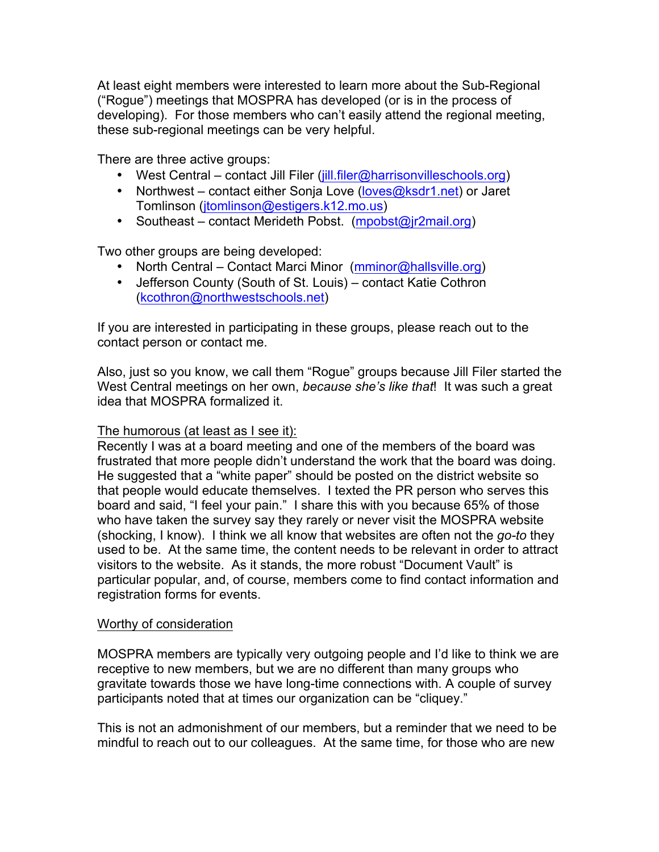At least eight members were interested to learn more about the Sub-Regional ("Rogue") meetings that MOSPRA has developed (or is in the process of developing). For those members who can't easily attend the regional meeting, these sub-regional meetings can be very helpful.

There are three active groups:

- West Central contact Jill Filer (jill.filer@harrisonvilleschools.org)
- Northwest contact either Sonja Love (loves@ksdr1.net) or Jaret Tomlinson (jtomlinson@estigers.k12.mo.us)
- Southeast contact Merideth Pobst. (mpobst@jr2mail.org)

Two other groups are being developed:

- North Central Contact Marci Minor (mminor@hallsville.org)
- Jefferson County (South of St. Louis) contact Katie Cothron (kcothron@northwestschools.net)

If you are interested in participating in these groups, please reach out to the contact person or contact me.

Also, just so you know, we call them "Rogue" groups because Jill Filer started the West Central meetings on her own, *because she's like that*! It was such a great idea that MOSPRA formalized it.

### The humorous (at least as I see it):

Recently I was at a board meeting and one of the members of the board was frustrated that more people didn't understand the work that the board was doing. He suggested that a "white paper" should be posted on the district website so that people would educate themselves. I texted the PR person who serves this board and said, "I feel your pain." I share this with you because 65% of those who have taken the survey say they rarely or never visit the MOSPRA website (shocking, I know). I think we all know that websites are often not the *go-to* they used to be. At the same time, the content needs to be relevant in order to attract visitors to the website. As it stands, the more robust "Document Vault" is particular popular, and, of course, members come to find contact information and registration forms for events.

### Worthy of consideration

MOSPRA members are typically very outgoing people and I'd like to think we are receptive to new members, but we are no different than many groups who gravitate towards those we have long-time connections with. A couple of survey participants noted that at times our organization can be "cliquey."

This is not an admonishment of our members, but a reminder that we need to be mindful to reach out to our colleagues. At the same time, for those who are new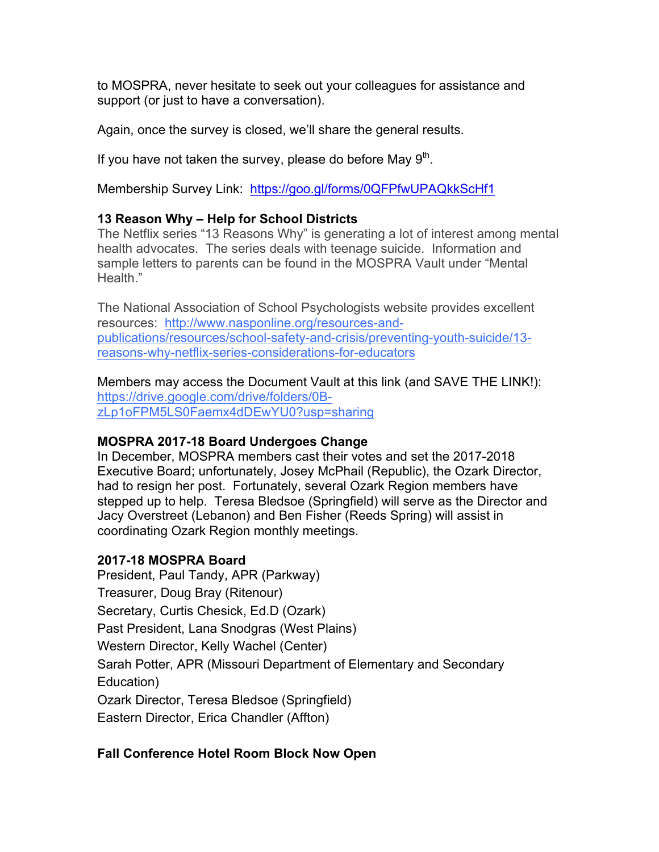to MOSPRA, never hesitate to seek out your colleagues for assistance and support (or just to have a conversation).

Again, once the survey is closed, we'll share the general results.

If you have not taken the survey, please do before May  $9<sup>th</sup>$ .

Membership Survey Link: https://goo.gl/forms/0QFPfwUPAQkkScHf1

# **13 Reason Why – Help for School Districts**

The Netflix series "13 Reasons Why" is generating a lot of interest among mental health advocates. The series deals with teenage suicide. Information and sample letters to parents can be found in the MOSPRA Vault under "Mental Health."

The National Association of School Psychologists website provides excellent resources: http://www.nasponline.org/resources-andpublications/resources/school-safety-and-crisis/preventing-youth-suicide/13 reasons-why-netflix-series-considerations-for-educators

Members may access the Document Vault at this link (and SAVE THE LINK!): https://drive.google.com/drive/folders/0BzLp1oFPM5LS0Faemx4dDEwYU0?usp=sharing

# **MOSPRA 2017-18 Board Undergoes Change**

In December, MOSPRA members cast their votes and set the 2017-2018 Executive Board; unfortunately, Josey McPhail (Republic), the Ozark Director, had to resign her post. Fortunately, several Ozark Region members have stepped up to help. Teresa Bledsoe (Springfield) will serve as the Director and Jacy Overstreet (Lebanon) and Ben Fisher (Reeds Spring) will assist in coordinating Ozark Region monthly meetings.

# **2017-18 MOSPRA Board**

President, Paul Tandy, APR (Parkway) Treasurer, Doug Bray (Ritenour) Secretary, Curtis Chesick, Ed.D (Ozark) Past President, Lana Snodgras (West Plains) Western Director, Kelly Wachel (Center) Sarah Potter, APR (Missouri Department of Elementary and Secondary Education) Ozark Director, Teresa Bledsoe (Springfield) Eastern Director, Erica Chandler (Affton)

# **Fall Conference Hotel Room Block Now Open**